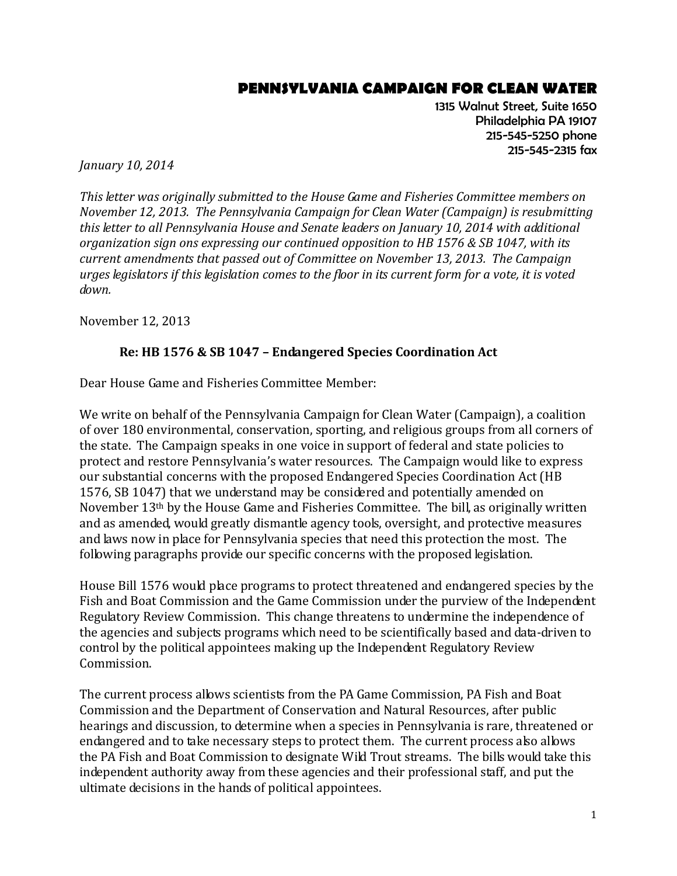## **PENNSYLVANIA CAMPAIGN FOR CLEAN WATER**

1315 Walnut Street, Suite 1650 Philadelphia PA 19107 215-545-5250 phone 215-545-2315 fax

*January 10, 2014*

*This letter was originally submitted to the House Game and Fisheries Committee members on November 12, 2013. The Pennsylvania Campaign for Clean Water (Campaign) is resubmitting this letter to all Pennsylvania House and Senate leaders on January 10, 2014 with additional organization sign ons expressing our continued opposition to HB 1576 & SB 1047, with its current amendments that passed out of Committee on November 13, 2013. The Campaign urges legislators if this legislation comes to the floor in its current form for a vote, it is voted down.* 

November 12, 2013

## **Re: HB 1576 & SB 1047 – Endangered Species Coordination Act**

Dear House Game and Fisheries Committee Member:

We write on behalf of the Pennsylvania Campaign for Clean Water (Campaign), a coalition of over 180 environmental, conservation, sporting, and religious groups from all corners of the state. The Campaign speaks in one voice in support of federal and state policies to protect and restore Pennsylvania's water resources. The Campaign would like to express our substantial concerns with the proposed Endangered Species Coordination Act (HB 1576, SB 1047) that we understand may be considered and potentially amended on November 13th by the House Game and Fisheries Committee. The bill, as originally written and as amended, would greatly dismantle agency tools, oversight, and protective measures and laws now in place for Pennsylvania species that need this protection the most. The following paragraphs provide our specific concerns with the proposed legislation.

House Bill 1576 would place programs to protect threatened and endangered species by the Fish and Boat Commission and the Game Commission under the purview of the Independent Regulatory Review Commission. This change threatens to undermine the independence of the agencies and subjects programs which need to be scientifically based and data-driven to control by the political appointees making up the Independent Regulatory Review Commission.

The current process allows scientists from the PA Game Commission, PA Fish and Boat Commission and the Department of Conservation and Natural Resources, after public hearings and discussion, to determine when a species in Pennsylvania is rare, threatened or endangered and to take necessary steps to protect them. The current process also allows the PA Fish and Boat Commission to designate Wild Trout streams. The bills would take this independent authority away from these agencies and their professional staff, and put the ultimate decisions in the hands of political appointees.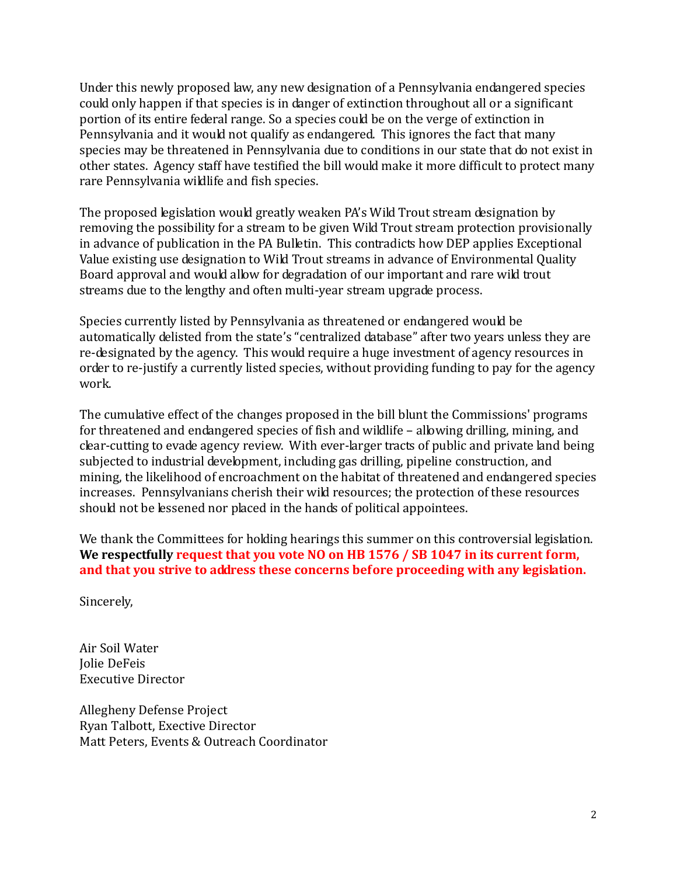Under this newly proposed law, any new designation of a Pennsylvania endangered species could only happen if that species is in danger of extinction throughout all or a significant portion of its entire federal range. So a species could be on the verge of extinction in Pennsylvania and it would not qualify as endangered. This ignores the fact that many species may be threatened in Pennsylvania due to conditions in our state that do not exist in other states. Agency staff have testified the bill would make it more difficult to protect many rare Pennsylvania wildlife and fish species.

The proposed legislation would greatly weaken PA's Wild Trout stream designation by removing the possibility for a stream to be given Wild Trout stream protection provisionally in advance of publication in the PA Bulletin. This contradicts how DEP applies Exceptional Value existing use designation to Wild Trout streams in advance of Environmental Quality Board approval and would allow for degradation of our important and rare wild trout streams due to the lengthy and often multi-year stream upgrade process.

Species currently listed by Pennsylvania as threatened or endangered would be automatically delisted from the state's "centralized database" after two years unless they are re-designated by the agency. This would require a huge investment of agency resources in order to re-justify a currently listed species, without providing funding to pay for the agency work.

The cumulative effect of the changes proposed in the bill blunt the Commissions' programs for threatened and endangered species of fish and wildlife – allowing drilling, mining, and clear-cutting to evade agency review. With ever-larger tracts of public and private land being subjected to industrial development, including gas drilling, pipeline construction, and mining, the likelihood of encroachment on the habitat of threatened and endangered species increases. Pennsylvanians cherish their wild resources; the protection of these resources should not be lessened nor placed in the hands of political appointees.

We thank the Committees for holding hearings this summer on this controversial legislation. **We respectfully request that you vote NO on HB 1576 / SB 1047 in its current form, and that you strive to address these concerns before proceeding with any legislation.**

Sincerely,

Air Soil Water Jolie DeFeis Executive Director

Allegheny Defense Project Ryan Talbott, Exective Director Matt Peters, Events & Outreach Coordinator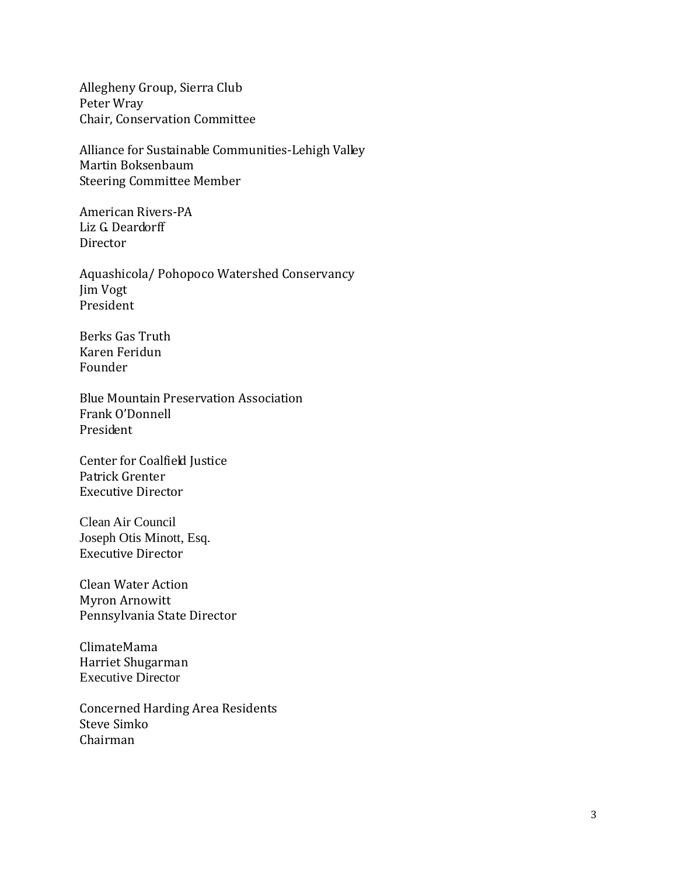Allegheny Group, Sierra Club Peter Wray Chair, Conservation Committee

Alliance for Sustainable Communities-Lehigh Valley Martin Boksenbaum Steering Committee Member

American Rivers-PA Liz G. Deardorff Director

Aquashicola/ Pohopoco Watershed Conservancy Jim Vogt President

Berks Gas Truth Karen Feridun Founder

Blue Mountain Preservation Association Frank O'Donnell President

Center for Coalfield Justice Patrick Grenter Executive Director

Clean Air Council Joseph Otis Minott, Esq. Executive Director

Clean Water Action Myron Arnowitt Pennsylvania State Director

ClimateMama Harriet Shugarman Executive Director

Concerned Harding Area Residents Steve Simko Chairman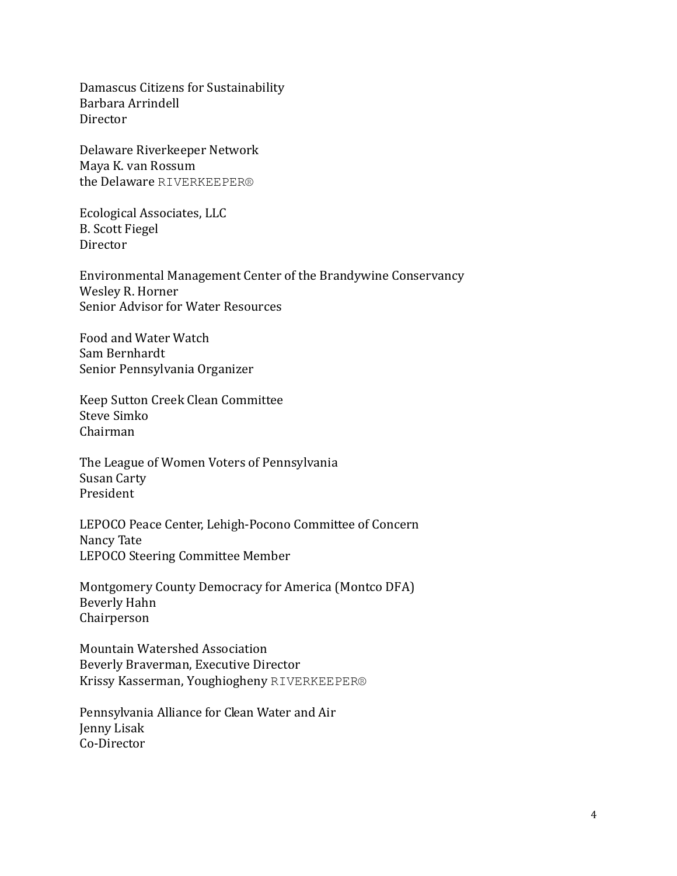Damascus Citizens for Sustainability Barbara Arrindell Director

Delaware Riverkeeper Network Maya K. van Rossum the Delaware RIVERKEEPER®

Ecological Associates, LLC B. Scott Fiegel Director

Environmental Management Center of the Brandywine Conservancy Wesley R. Horner Senior Advisor for Water Resources

Food and Water Watch Sam Bernhardt Senior Pennsylvania Organizer

Keep Sutton Creek Clean Committee Steve Simko Chairman

The League of Women Voters of Pennsylvania Susan Carty President

LEPOCO Peace Center, Lehigh-Pocono Committee of Concern Nancy Tate LEPOCO Steering Committee Member

Montgomery County Democracy for America (Montco DFA) Beverly Hahn Chairperson

Mountain Watershed Association Beverly Braverman, Executive Director Krissy Kasserman, Youghiogheny RIVERKEEPER®

Pennsylvania Alliance for Clean Water and Air Jenny Lisak Co-Director